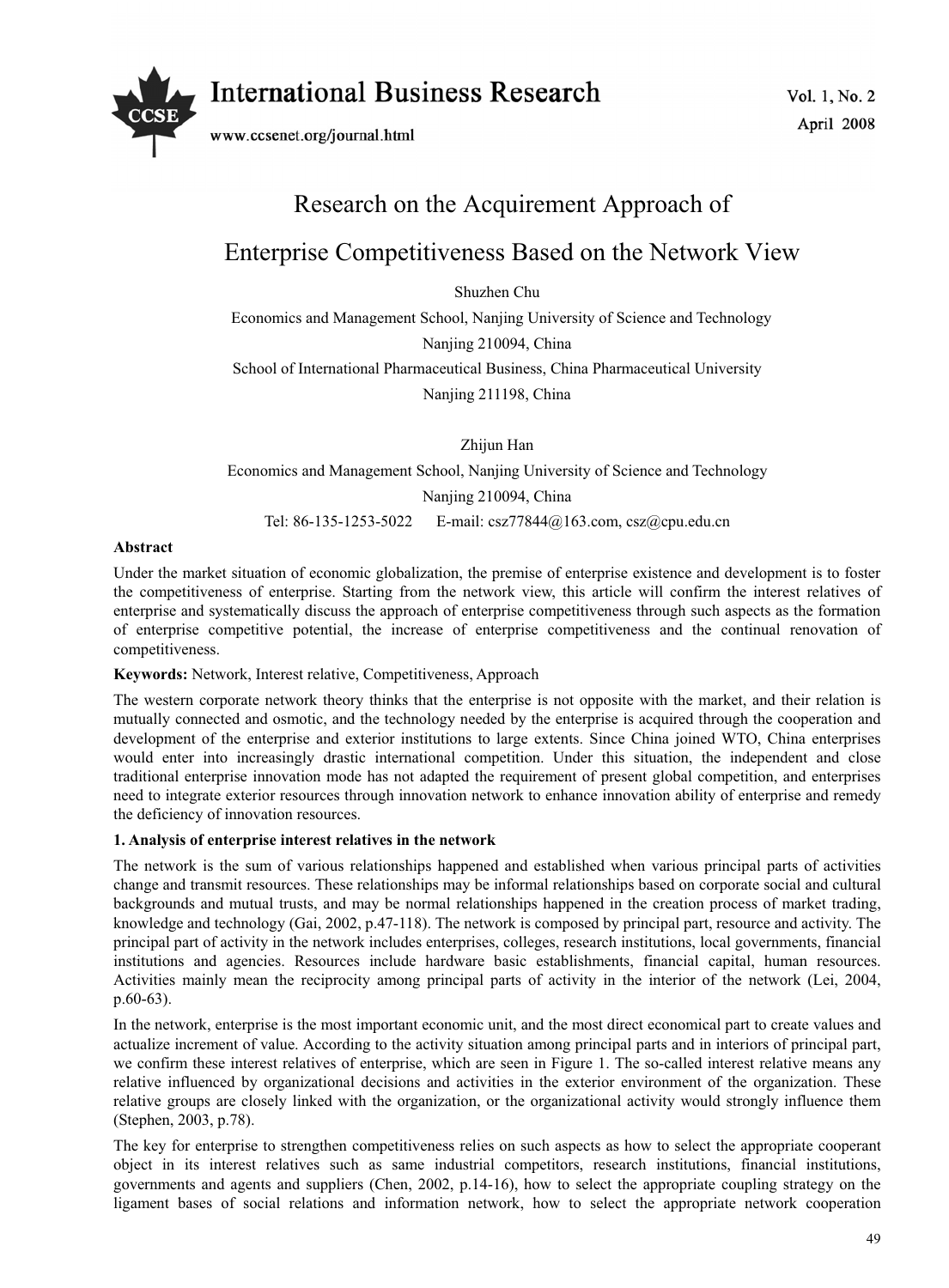

# Research on the Acquirement Approach of Enterprise Competitiveness Based on the Network View

Shuzhen Chu

 Economics and Management School, Nanjing University of Science and Technology Nanjing 210094, China

School of International Pharmaceutical Business, China Pharmaceutical University Nanjing 211198, China

Zhijun Han Economics and Management School, Nanjing University of Science and Technology Nanjing 210094, China Tel: 86-135-1253-5022 E-mail: csz77844@163.com, csz@cpu.edu.cn

# **Abstract**

Under the market situation of economic globalization, the premise of enterprise existence and development is to foster the competitiveness of enterprise. Starting from the network view, this article will confirm the interest relatives of enterprise and systematically discuss the approach of enterprise competitiveness through such aspects as the formation of enterprise competitive potential, the increase of enterprise competitiveness and the continual renovation of competitiveness.

# **Keywords:** Network, Interest relative, Competitiveness, Approach

The western corporate network theory thinks that the enterprise is not opposite with the market, and their relation is mutually connected and osmotic, and the technology needed by the enterprise is acquired through the cooperation and development of the enterprise and exterior institutions to large extents. Since China joined WTO, China enterprises would enter into increasingly drastic international competition. Under this situation, the independent and close traditional enterprise innovation mode has not adapted the requirement of present global competition, and enterprises need to integrate exterior resources through innovation network to enhance innovation ability of enterprise and remedy the deficiency of innovation resources.

# **1. Analysis of enterprise interest relatives in the network**

The network is the sum of various relationships happened and established when various principal parts of activities change and transmit resources. These relationships may be informal relationships based on corporate social and cultural backgrounds and mutual trusts, and may be normal relationships happened in the creation process of market trading, knowledge and technology (Gai, 2002, p.47-118). The network is composed by principal part, resource and activity. The principal part of activity in the network includes enterprises, colleges, research institutions, local governments, financial institutions and agencies. Resources include hardware basic establishments, financial capital, human resources. Activities mainly mean the reciprocity among principal parts of activity in the interior of the network (Lei, 2004, p.60-63).

In the network, enterprise is the most important economic unit, and the most direct economical part to create values and actualize increment of value. According to the activity situation among principal parts and in interiors of principal part, we confirm these interest relatives of enterprise, which are seen in Figure 1. The so-called interest relative means any relative influenced by organizational decisions and activities in the exterior environment of the organization. These relative groups are closely linked with the organization, or the organizational activity would strongly influence them (Stephen, 2003, p.78).

The key for enterprise to strengthen competitiveness relies on such aspects as how to select the appropriate cooperant object in its interest relatives such as same industrial competitors, research institutions, financial institutions, governments and agents and suppliers (Chen, 2002, p.14-16), how to select the appropriate coupling strategy on the ligament bases of social relations and information network, how to select the appropriate network cooperation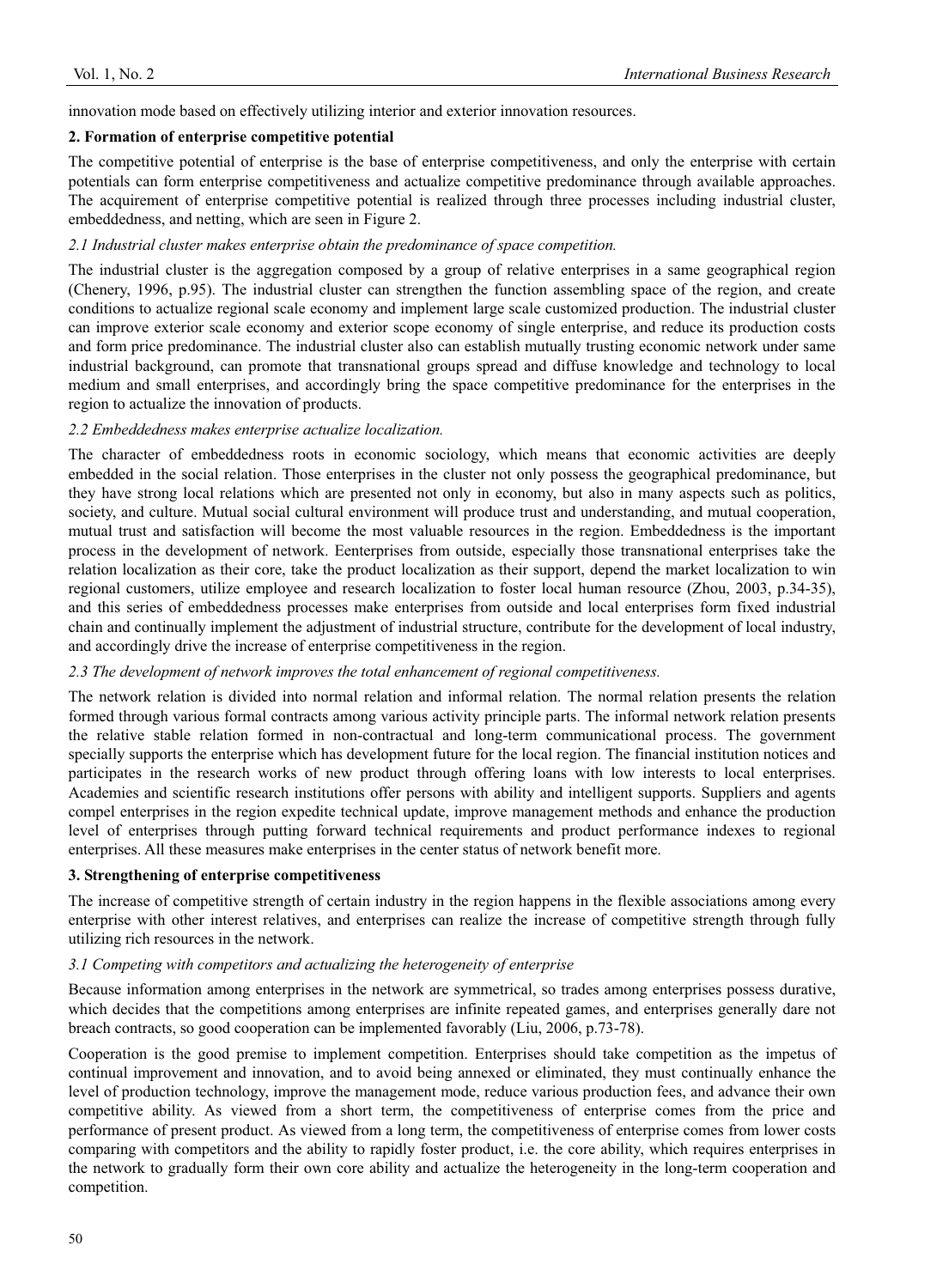innovation mode based on effectively utilizing interior and exterior innovation resources.

## **2. Formation of enterprise competitive potential**

The competitive potential of enterprise is the base of enterprise competitiveness, and only the enterprise with certain potentials can form enterprise competitiveness and actualize competitive predominance through available approaches. The acquirement of enterprise competitive potential is realized through three processes including industrial cluster, embeddedness, and netting, which are seen in Figure 2.

## *2.1 Industrial cluster makes enterprise obtain the predominance of space competition.*

The industrial cluster is the aggregation composed by a group of relative enterprises in a same geographical region (Chenery, 1996, p.95). The industrial cluster can strengthen the function assembling space of the region, and create conditions to actualize regional scale economy and implement large scale customized production. The industrial cluster can improve exterior scale economy and exterior scope economy of single enterprise, and reduce its production costs and form price predominance. The industrial cluster also can establish mutually trusting economic network under same industrial background, can promote that transnational groups spread and diffuse knowledge and technology to local medium and small enterprises, and accordingly bring the space competitive predominance for the enterprises in the region to actualize the innovation of products.

## *2.2 Embeddedness makes enterprise actualize localization.*

The character of embeddedness roots in economic sociology, which means that economic activities are deeply embedded in the social relation. Those enterprises in the cluster not only possess the geographical predominance, but they have strong local relations which are presented not only in economy, but also in many aspects such as politics, society, and culture. Mutual social cultural environment will produce trust and understanding, and mutual cooperation, mutual trust and satisfaction will become the most valuable resources in the region. Embeddedness is the important process in the development of network. Eenterprises from outside, especially those transnational enterprises take the relation localization as their core, take the product localization as their support, depend the market localization to win regional customers, utilize employee and research localization to foster local human resource (Zhou, 2003, p.34-35), and this series of embeddedness processes make enterprises from outside and local enterprises form fixed industrial chain and continually implement the adjustment of industrial structure, contribute for the development of local industry, and accordingly drive the increase of enterprise competitiveness in the region.

#### *2.3 The development of network improves the total enhancement of regional competitiveness.*

The network relation is divided into normal relation and informal relation. The normal relation presents the relation formed through various formal contracts among various activity principle parts. The informal network relation presents the relative stable relation formed in non-contractual and long-term communicational process. The government specially supports the enterprise which has development future for the local region. The financial institution notices and participates in the research works of new product through offering loans with low interests to local enterprises. Academies and scientific research institutions offer persons with ability and intelligent supports. Suppliers and agents compel enterprises in the region expedite technical update, improve management methods and enhance the production level of enterprises through putting forward technical requirements and product performance indexes to regional enterprises. All these measures make enterprises in the center status of network benefit more.

#### **3. Strengthening of enterprise competitiveness**

The increase of competitive strength of certain industry in the region happens in the flexible associations among every enterprise with other interest relatives, and enterprises can realize the increase of competitive strength through fully utilizing rich resources in the network.

#### *3.1 Competing with competitors and actualizing the heterogeneity of enterprise*

Because information among enterprises in the network are symmetrical, so trades among enterprises possess durative, which decides that the competitions among enterprises are infinite repeated games, and enterprises generally dare not breach contracts, so good cooperation can be implemented favorably (Liu, 2006, p.73-78).

Cooperation is the good premise to implement competition. Enterprises should take competition as the impetus of continual improvement and innovation, and to avoid being annexed or eliminated, they must continually enhance the level of production technology, improve the management mode, reduce various production fees, and advance their own competitive ability. As viewed from a short term, the competitiveness of enterprise comes from the price and performance of present product. As viewed from a long term, the competitiveness of enterprise comes from lower costs comparing with competitors and the ability to rapidly foster product, i.e. the core ability, which requires enterprises in the network to gradually form their own core ability and actualize the heterogeneity in the long-term cooperation and competition.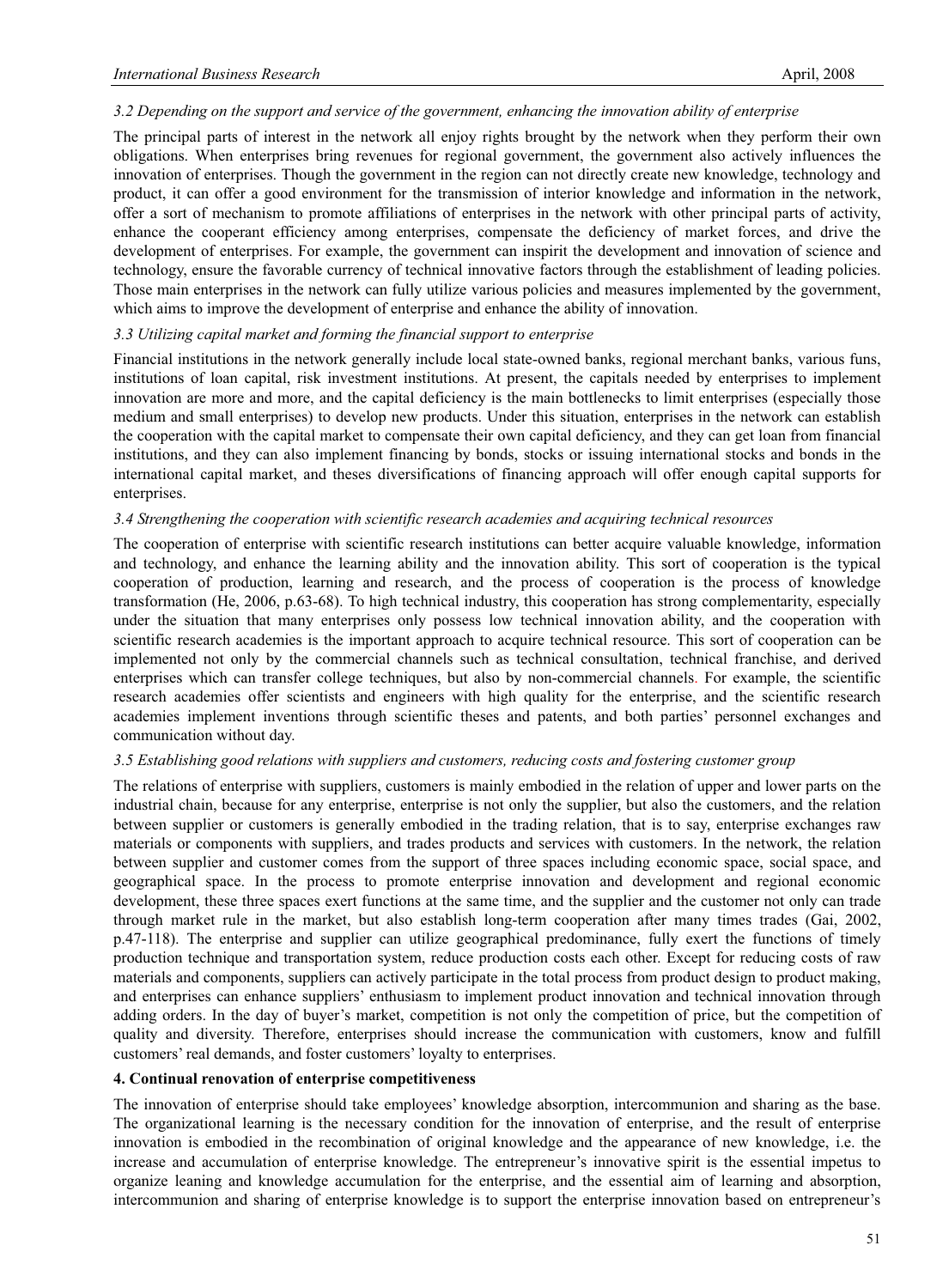#### *3.2 Depending on the support and service of the government, enhancing the innovation ability of enterprise*

The principal parts of interest in the network all enjoy rights brought by the network when they perform their own obligations. When enterprises bring revenues for regional government, the government also actively influences the innovation of enterprises. Though the government in the region can not directly create new knowledge, technology and product, it can offer a good environment for the transmission of interior knowledge and information in the network, offer a sort of mechanism to promote affiliations of enterprises in the network with other principal parts of activity, enhance the cooperant efficiency among enterprises, compensate the deficiency of market forces, and drive the development of enterprises. For example, the government can inspirit the development and innovation of science and technology, ensure the favorable currency of technical innovative factors through the establishment of leading policies. Those main enterprises in the network can fully utilize various policies and measures implemented by the government, which aims to improve the development of enterprise and enhance the ability of innovation.

#### *3.3 Utilizing capital market and forming the financial support to enterprise*

Financial institutions in the network generally include local state-owned banks, regional merchant banks, various funs, institutions of loan capital, risk investment institutions. At present, the capitals needed by enterprises to implement innovation are more and more, and the capital deficiency is the main bottlenecks to limit enterprises (especially those medium and small enterprises) to develop new products. Under this situation, enterprises in the network can establish the cooperation with the capital market to compensate their own capital deficiency, and they can get loan from financial institutions, and they can also implement financing by bonds, stocks or issuing international stocks and bonds in the international capital market, and theses diversifications of financing approach will offer enough capital supports for enterprises.

#### *3.4 Strengthening the cooperation with scientific research academies and acquiring technical resources*

The cooperation of enterprise with scientific research institutions can better acquire valuable knowledge, information and technology, and enhance the learning ability and the innovation ability. This sort of cooperation is the typical cooperation of production, learning and research, and the process of cooperation is the process of knowledge transformation (He, 2006, p.63-68). To high technical industry, this cooperation has strong complementarity, especially under the situation that many enterprises only possess low technical innovation ability, and the cooperation with scientific research academies is the important approach to acquire technical resource. This sort of cooperation can be implemented not only by the commercial channels such as technical consultation, technical franchise, and derived enterprises which can transfer college techniques, but also by non-commercial channels. For example, the scientific research academies offer scientists and engineers with high quality for the enterprise, and the scientific research academies implement inventions through scientific theses and patents, and both parties' personnel exchanges and communication without day.

#### *3.5 Establishing good relations with suppliers and customers, reducing costs and fostering customer group*

The relations of enterprise with suppliers, customers is mainly embodied in the relation of upper and lower parts on the industrial chain, because for any enterprise, enterprise is not only the supplier, but also the customers, and the relation between supplier or customers is generally embodied in the trading relation, that is to say, enterprise exchanges raw materials or components with suppliers, and trades products and services with customers. In the network, the relation between supplier and customer comes from the support of three spaces including economic space, social space, and geographical space. In the process to promote enterprise innovation and development and regional economic development, these three spaces exert functions at the same time, and the supplier and the customer not only can trade through market rule in the market, but also establish long-term cooperation after many times trades (Gai, 2002, p.47-118). The enterprise and supplier can utilize geographical predominance, fully exert the functions of timely production technique and transportation system, reduce production costs each other. Except for reducing costs of raw materials and components, suppliers can actively participate in the total process from product design to product making, and enterprises can enhance suppliers' enthusiasm to implement product innovation and technical innovation through adding orders. In the day of buyer's market, competition is not only the competition of price, but the competition of quality and diversity. Therefore, enterprises should increase the communication with customers, know and fulfill customers' real demands, and foster customers' loyalty to enterprises.

#### **4. Continual renovation of enterprise competitiveness**

The innovation of enterprise should take employees' knowledge absorption, intercommunion and sharing as the base. The organizational learning is the necessary condition for the innovation of enterprise, and the result of enterprise innovation is embodied in the recombination of original knowledge and the appearance of new knowledge, i.e. the increase and accumulation of enterprise knowledge. The entrepreneur's innovative spirit is the essential impetus to organize leaning and knowledge accumulation for the enterprise, and the essential aim of learning and absorption, intercommunion and sharing of enterprise knowledge is to support the enterprise innovation based on entrepreneur's